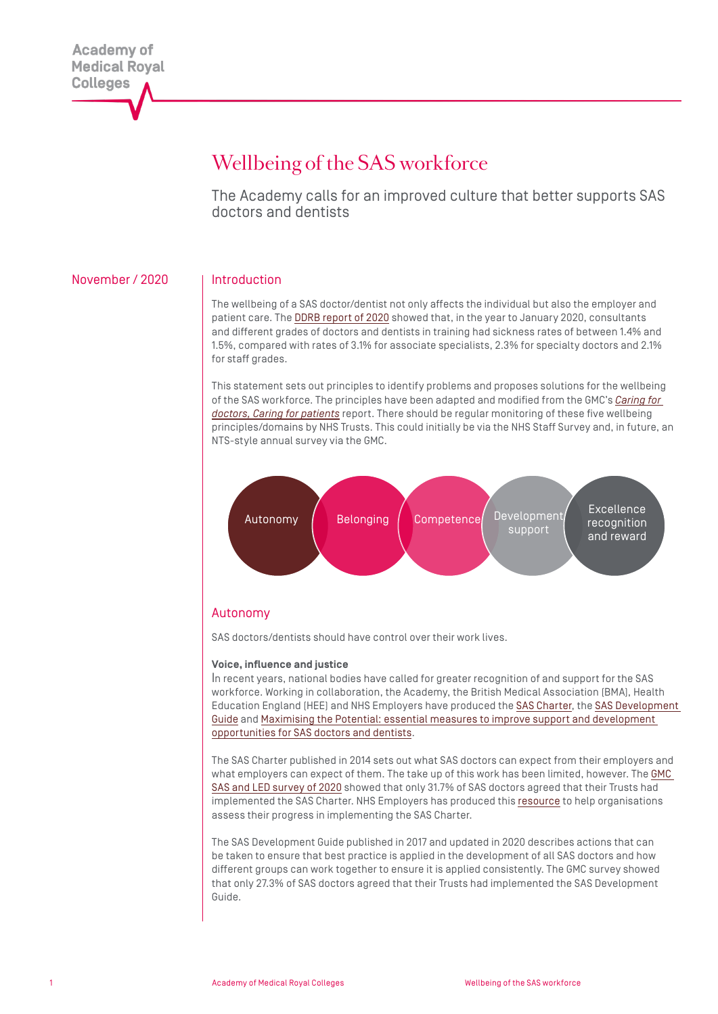# Wellbeing of the SAS workforce

The Academy calls for an improved culture that better supports SAS doctors and dentists

# November / 2020 | Introduction

The wellbeing of a SAS doctor/dentist not only affects the individual but also the employer and patient care. The [DDRB report of 2020](https://assets.publishing.service.gov.uk/government/uploads/system/uploads/attachment_data/file/902451/CCS0320352414-001_DDRB_2020_Web_Accessible.pdf) showed that, in the year to January 2020, consultants and different grades of doctors and dentists in training had sickness rates of between 1.4% and 1.5%, compared with rates of 3.1% for associate specialists, 2.3% for specialty doctors and 2.1% for staff grades.

This statement sets out principles to identify problems and proposes solutions for the wellbeing of the SAS workforce. The principles have been adapted and modified from the GMC's *[Caring for](https://www.gmc-uk.org/-/media/documents/caring-for-doctors-caring-for-patients_pdf-80706341.pdf)  [doctors, Caring for patients](https://www.gmc-uk.org/-/media/documents/caring-for-doctors-caring-for-patients_pdf-80706341.pdf)* report. There should be regular monitoring of these five wellbeing principles/domains by NHS Trusts. This could initially be via the NHS Staff Survey and, in future, an NTS-style annual survey via the GMC.



# Autonomy

SAS doctors/dentists should have control over their work lives.

#### **Voice, influence and justice**

In recent years, national bodies have called for greater recognition of and support for the SAS workforce. Working in collaboration, the Academy, the British Medical Association (BMA), Health Education England (HEE) and NHS Employers have produced the [SAS Charter](https://www.bma.org.uk/media/1057/bma-sas-charter-for-england-dec-2014.pdf), the [SAS Development](https://www.nhsemployers.org/-/media/Employers/Publications/SAS-doctor-development-guide-FINAL.pdf)  [Guide](https://www.nhsemployers.org/-/media/Employers/Publications/SAS-doctor-development-guide-FINAL.pdf) and [Maximising the Potential: essential measures to improve support and development](https://www.hee.nhs.uk/sites/default/files/documents/SAS_Report_Web.pdf)  [opportunities for SAS doctors and dentists.](https://www.hee.nhs.uk/sites/default/files/documents/SAS_Report_Web.pdf)

The SAS Charter published in 2014 sets out what SAS doctors can expect from their employers and what employers can expect of them. The take up of this work has been limited, however. The GMC [SAS and LED survey of 2020](https://www.gmc-uk.org/education/standards-guidance-and-curricula/projects/survey-of-specialty-and-associate-specialist-and-locally-employed-doctors) showed that only 31.7% of SAS doctors agreed that their Trusts had implemented the SAS Charter. NHS Employers has produced this [resource](https://www.nhsemployers.org/pay-pensions-and-reward/medical-staff/sas-doctors/sas-charter/sas-charter-evaluation-toolkit) to help organisations assess their progress in implementing the SAS Charter.

The SAS Development Guide published in 2017 and updated in 2020 describes actions that can be taken to ensure that best practice is applied in the development of all SAS doctors and how different groups can work together to ensure it is applied consistently. The GMC survey showed that only 27.3% of SAS doctors agreed that their Trusts had implemented the SAS Development Guide.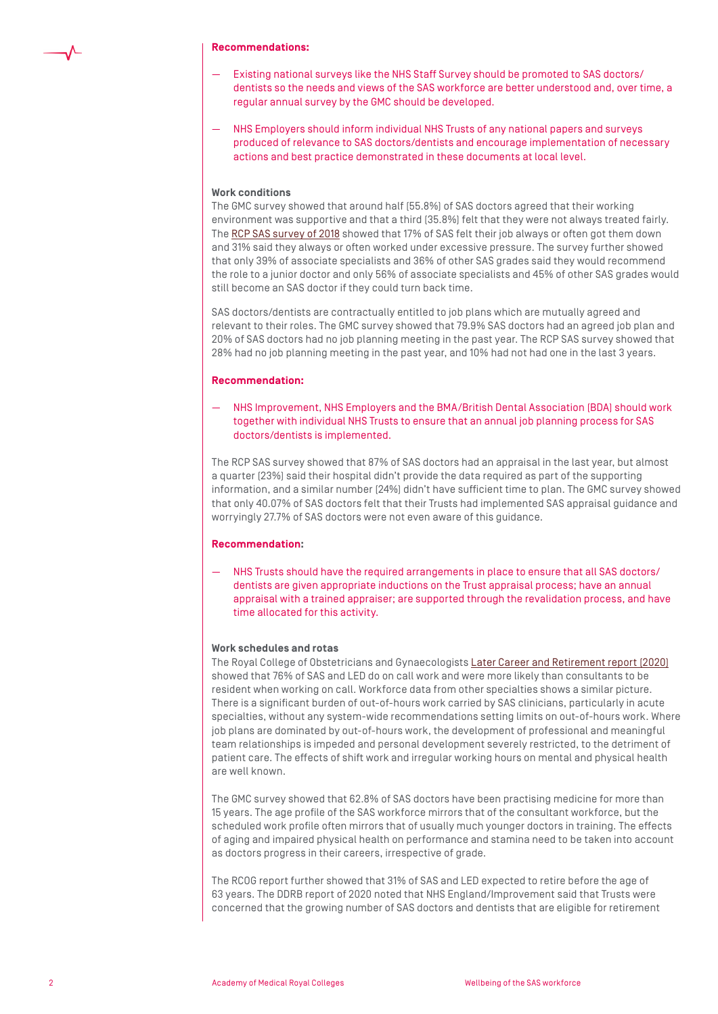#### **Recommendations:**

- Existing national surveys like the NHS Staff Survey should be promoted to SAS doctors/ dentists so the needs and views of the SAS workforce are better understood and, over time, a regular annual survey by the GMC should be developed.
- NHS Employers should inform individual NHS Trusts of any national papers and surveys produced of relevance to SAS doctors/dentists and encourage implementation of necessary actions and best practice demonstrated in these documents at local level.

#### **Work conditions**

The GMC survey showed that around half (55.8%) of SAS doctors agreed that their working environment was supportive and that a third (35.8%) felt that they were not always treated fairly. The [RCP SAS survey of 2018](https://www.rcplondon.ac.uk/projects/outputs/sas-physicians-survey-2018) showed that 17% of SAS felt their job always or often got them down and 31% said they always or often worked under excessive pressure. The survey further showed that only 39% of associate specialists and 36% of other SAS grades said they would recommend the role to a junior doctor and only 56% of associate specialists and 45% of other SAS grades would still become an SAS doctor if they could turn back time.

SAS doctors/dentists are contractually entitled to job plans which are mutually agreed and relevant to their roles. The GMC survey showed that 79.9% SAS doctors had an agreed job plan and 20% of SAS doctors had no job planning meeting in the past year. The RCP SAS survey showed that 28% had no job planning meeting in the past year, and 10% had not had one in the last 3 years.

#### **Recommendation:**

— NHS Improvement, NHS Employers and the BMA/British Dental Association (BDA) should work together with individual NHS Trusts to ensure that an annual job planning process for SAS doctors/dentists is implemented.

The RCP SAS survey showed that 87% of SAS doctors had an appraisal in the last year, but almost a quarter (23%) said their hospital didn't provide the data required as part of the supporting information, and a similar number (24%) didn't have sufficient time to plan. The GMC survey showed that only 40.07% of SAS doctors felt that their Trusts had implemented SAS appraisal guidance and worryingly 27.7% of SAS doctors were not even aware of this guidance.

#### **Recommendation:**

— NHS Trusts should have the required arrangements in place to ensure that all SAS doctors/ dentists are given appropriate inductions on the Trust appraisal process; have an annual appraisal with a trained appraiser; are supported through the revalidation process, and have time allocated for this activity.

#### **Work schedules and rotas**

The Royal College of Obstetricians and Gynaecologists [Later Career and Retirement report \(2020\)](https://www.rcog.org.uk/globalassets/documents/careers-and-training/workplace-and-workforce-issues/later-career-report/later-career-retirement-report.pdf) showed that 76% of SAS and LED do on call work and were more likely than consultants to be resident when working on call. Workforce data from other specialties shows a similar picture. There is a significant burden of out-of-hours work carried by SAS clinicians, particularly in acute specialties, without any system-wide recommendations setting limits on out-of-hours work. Where job plans are dominated by out-of-hours work, the development of professional and meaningful team relationships is impeded and personal development severely restricted, to the detriment of patient care. The effects of shift work and irregular working hours on mental and physical health are well known.

The GMC survey showed that 62.8% of SAS doctors have been practising medicine for more than 15 years. The age profile of the SAS workforce mirrors that of the consultant workforce, but the scheduled work profile often mirrors that of usually much younger doctors in training. The effects of aging and impaired physical health on performance and stamina need to be taken into account as doctors progress in their careers, irrespective of grade.

The RCOG report further showed that 31% of SAS and LED expected to retire before the age of 63 years. The DDRB report of 2020 noted that NHS England/Improvement said that Trusts were concerned that the growing number of SAS doctors and dentists that are eligible for retirement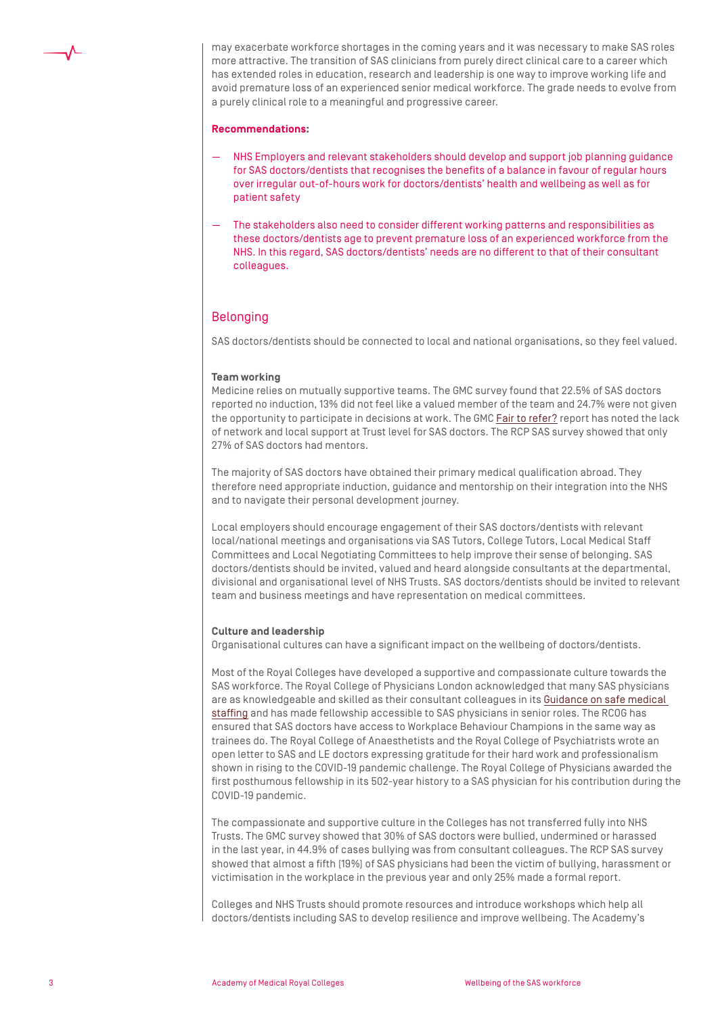

may exacerbate workforce shortages in the coming years and it was necessary to make SAS roles more attractive. The transition of SAS clinicians from purely direct clinical care to a career which has extended roles in education, research and leadership is one way to improve working life and avoid premature loss of an experienced senior medical workforce. The grade needs to evolve from a purely clinical role to a meaningful and progressive career.

#### **Recommendations:**

- NHS Employers and relevant stakeholders should develop and support job planning guidance for SAS doctors/dentists that recognises the benefits of a balance in favour of regular hours over irregular out-of-hours work for doctors/dentists' health and wellbeing as well as for patient safety
- The stakeholders also need to consider different working patterns and responsibilities as these doctors/dentists age to prevent premature loss of an experienced workforce from the NHS. In this regard, SAS doctors/dentists' needs are no different to that of their consultant colleagues.

# Belonging

SAS doctors/dentists should be connected to local and national organisations, so they feel valued.

### **Team working**

Medicine relies on mutually supportive teams. The GMC survey found that 22.5% of SAS doctors reported no induction, 13% did not feel like a valued member of the team and 24.7% were not given the opportunity to participate in decisions at work. The GMC [Fair to refer?](https://www.gmc-uk.org/-/media/documents/fair-to-refer-report_pdf-79011677.pdf) report has noted the lack of network and local support at Trust level for SAS doctors. The RCP SAS survey showed that only 27% of SAS doctors had mentors.

The majority of SAS doctors have obtained their primary medical qualification abroad. They therefore need appropriate induction, guidance and mentorship on their integration into the NHS and to navigate their personal development journey.

Local employers should encourage engagement of their SAS doctors/dentists with relevant local/national meetings and organisations via SAS Tutors, College Tutors, Local Medical Staff Committees and Local Negotiating Committees to help improve their sense of belonging. SAS doctors/dentists should be invited, valued and heard alongside consultants at the departmental, divisional and organisational level of NHS Trusts. SAS doctors/dentists should be invited to relevant team and business meetings and have representation on medical committees.

### **Culture and leadership**

Organisational cultures can have a significant impact on the wellbeing of doctors/dentists.

Most of the Royal Colleges have developed a supportive and compassionate culture towards the SAS workforce. The Royal College of Physicians London acknowledged that many SAS physicians are as knowledgeable and skilled as their consultant colleagues in its [Guidance on safe medical](https://www.rcplondon.ac.uk/projects/outputs/safe-medical-staffing)  [staffing](https://www.rcplondon.ac.uk/projects/outputs/safe-medical-staffing) and has made fellowship accessible to SAS physicians in senior roles. The RCOG has ensured that SAS doctors have access to Workplace Behaviour Champions in the same way as trainees do. The Royal College of Anaesthetists and the Royal College of Psychiatrists wrote an open letter to SAS and LE doctors expressing gratitude for their hard work and professionalism shown in rising to the COVID-19 pandemic challenge. The Royal College of Physicians awarded the first posthumous fellowship in its 502-year history to a SAS physician for his contribution during the COVID-19 pandemic.

The compassionate and supportive culture in the Colleges has not transferred fully into NHS Trusts. The GMC survey showed that 30% of SAS doctors were bullied, undermined or harassed in the last year, in 44.9% of cases bullying was from consultant colleagues. The RCP SAS survey showed that almost a fifth (19%) of SAS physicians had been the victim of bullying, harassment or victimisation in the workplace in the previous year and only 25% made a formal report.

Colleges and NHS Trusts should promote resources and introduce workshops which help all doctors/dentists including SAS to develop resilience and improve wellbeing. The Academy's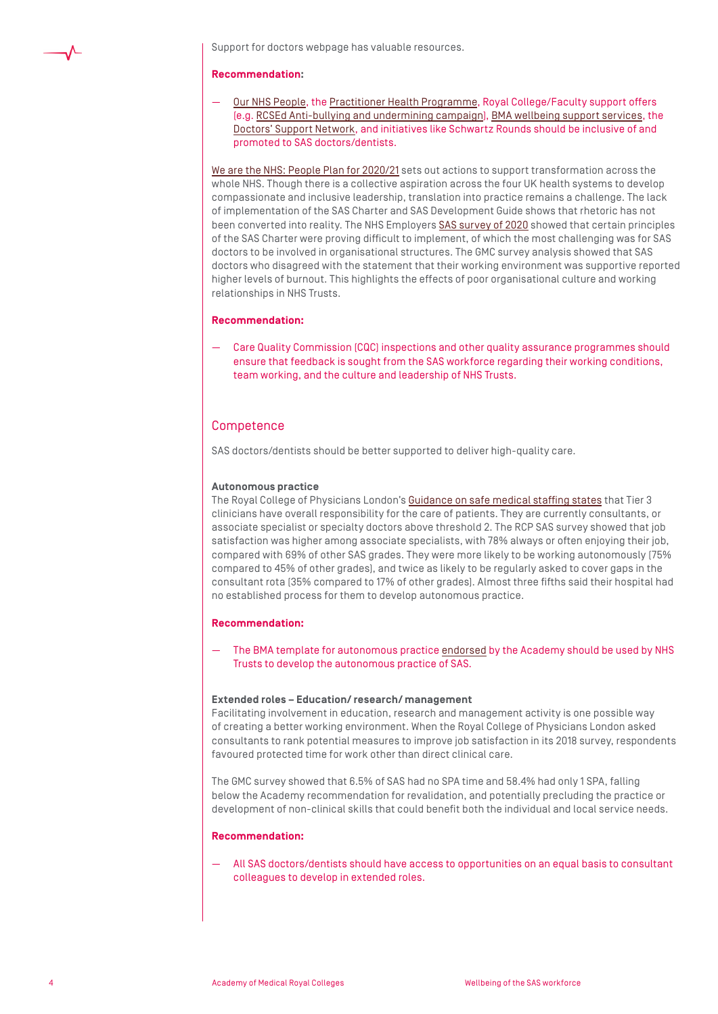Support for doctors webpage has valuable resources.

#### **Recommendation:**

— [Our NHS People,](https://people.nhs.uk/) the [Practitioner Health Programme,](https://www.practitionerhealth.nhs.uk/) Royal College/Faculty support offers (e.g. [RCSEd Anti-bullying and undermining campaign\)](https://www.rcsed.ac.uk/professional-support-development-resources/anti-bullying-and-undermining-campaign), [BMA wellbeing support services,](https://www.bma.org.uk/advice-and-support/your-wellbeing) the [Doctors' Support Network,](https://www.dsn.org.uk/) and initiatives like Schwartz Rounds should be inclusive of and promoted to SAS doctors/dentists.

[We are the NHS: People Plan for 2020/21](https://www.england.nhs.uk/wp-content/uploads/2020/07/We_Are_The_NHS_Action_For_All_Of_Us_FINAL_24_08_20.pdf) sets out actions to support transformation across the whole NHS. Though there is a collective aspiration across the four UK health systems to develop compassionate and inclusive leadership, translation into practice remains a challenge. The lack of implementation of the SAS Charter and SAS Development Guide shows that rhetoric has not been converted into reality. The NHS Employers [SAS survey of 2020](https://www.nhsemployers.org/-/media/Employers/Documents/Pay-and-reward/SAS-doctors/SAS-survey-March20.pdf) showed that certain principles of the SAS Charter were proving difficult to implement, of which the most challenging was for SAS doctors to be involved in organisational structures. The GMC survey analysis showed that SAS doctors who disagreed with the statement that their working environment was supportive reported higher levels of burnout. This highlights the effects of poor organisational culture and working relationships in NHS Trusts.

### **Recommendation:**

— Care Quality Commission (CQC) inspections and other quality assurance programmes should ensure that feedback is sought from the SAS workforce regarding their working conditions, team working, and the culture and leadership of NHS Trusts.

# **Competence**

SAS doctors/dentists should be better supported to deliver high-quality care.

#### **Autonomous practice**

The Royal College of Physicians London's [Guidance on safe medical staffing states](https://www.rcplondon.ac.uk/projects/outputs/safe-medical-staffing) that Tier 3 clinicians have overall responsibility for the care of patients. They are currently consultants, or associate specialist or specialty doctors above threshold 2. The RCP SAS survey showed that job satisfaction was higher among associate specialists, with 78% always or often enjoying their job, compared with 69% of other SAS grades. They were more likely to be working autonomously (75% compared to 45% of other grades), and twice as likely to be regularly asked to cover gaps in the consultant rota (35% compared to 17% of other grades). Almost three fifths said their hospital had no established process for them to develop autonomous practice.

### **Recommendation:**

— The BMA template for autonomous practice [endorsed](https://www.aomrc.org.uk/wp-content/uploads/2020/08/200221_SAS_Autonomous_practice_paper.pdf) by the Academy should be used by NHS Trusts to develop the autonomous practice of SAS.

#### **Extended roles – Education/ research/ management**

Facilitating involvement in education, research and management activity is one possible way of creating a better working environment. When the Royal College of Physicians London asked consultants to rank potential measures to improve job satisfaction in its 2018 survey, respondents favoured protected time for work other than direct clinical care.

The GMC survey showed that 6.5% of SAS had no SPA time and 58.4% had only 1 SPA, falling below the Academy recommendation for revalidation, and potentially precluding the practice or development of non-clinical skills that could benefit both the individual and local service needs.

## **Recommendation:**

— All SAS doctors/dentists should have access to opportunities on an equal basis to consultant colleagues to develop in extended roles.